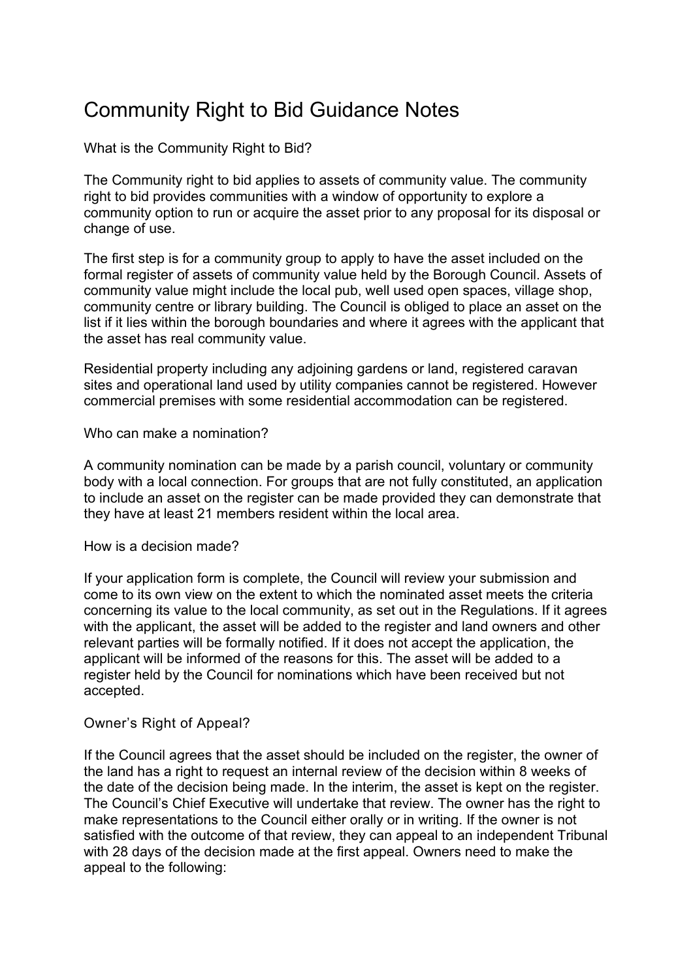## Community Right to Bid Guidance Notes

What is the Community Right to Bid?

The Community right to bid applies to assets of community value. The community right to bid provides communities with a window of opportunity to explore a community option to run or acquire the asset prior to any proposal for its disposal or change of use.

The first step is for a community group to apply to have the asset included on the formal register of assets of community value held by the Borough Council. Assets of community value might include the local pub, well used open spaces, village shop, community centre or library building. The Council is obliged to place an asset on the list if it lies within the borough boundaries and where it agrees with the applicant that the asset has real community value.

Residential property including any adjoining gardens or land, registered caravan sites and operational land used by utility companies cannot be registered. However commercial premises with some residential accommodation can be registered.

## Who can make a nomination?

A community nomination can be made by a parish council, voluntary or community body with a local connection. For groups that are not fully constituted, an application to include an asset on the register can be made provided they can demonstrate that they have at least 21 members resident within the local area.

## How is a decision made?

If your application form is complete, the Council will review your submission and come to its own view on the extent to which the nominated asset meets the criteria concerning its value to the local community, as set out in the Regulations. If it agrees with the applicant, the asset will be added to the register and land owners and other relevant parties will be formally notified. If it does not accept the application, the applicant will be informed of the reasons for this. The asset will be added to a register held by the Council for nominations which have been received but not accepted.

## Owner's Right of Appeal?

If the Council agrees that the asset should be included on the register, the owner of the land has a right to request an internal review of the decision within 8 weeks of the date of the decision being made. In the interim, the asset is kept on the register. The Council's Chief Executive will undertake that review. The owner has the right to make representations to the Council either orally or in writing. If the owner is not satisfied with the outcome of that review, they can appeal to an independent Tribunal with 28 days of the decision made at the first appeal. Owners need to make the appeal to the following: